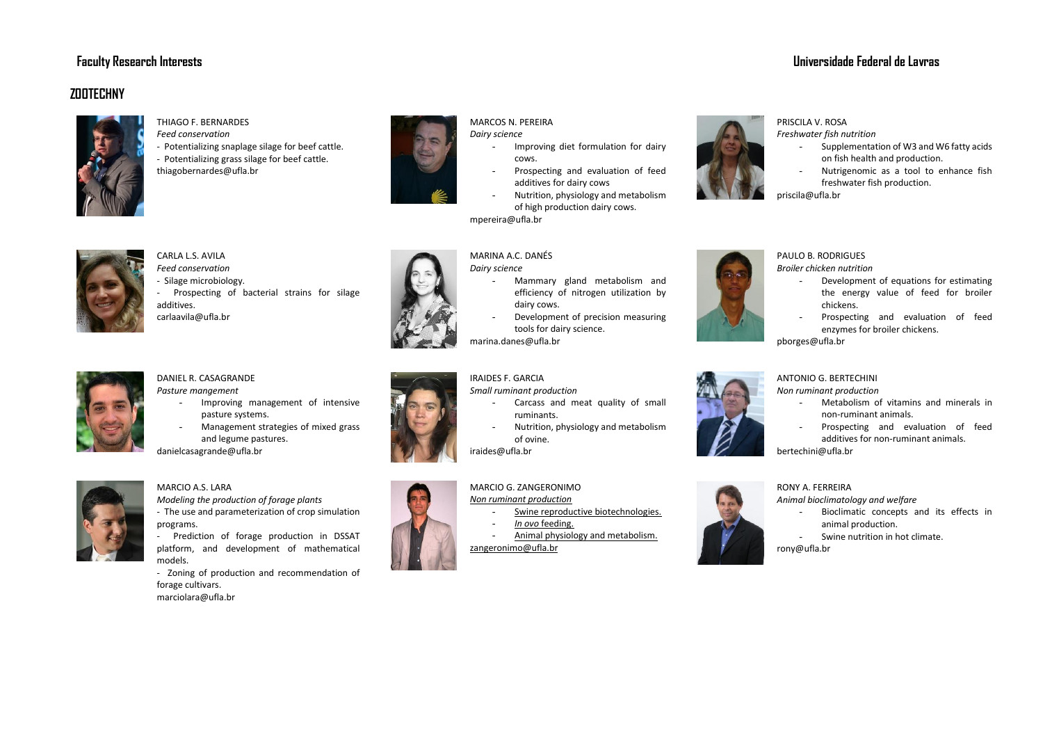# **Faculty Research Interests Universidade Federal de Lavras**

# **ZOOTECHNY**



THIAGO F. BERNARDES

CARLA L.S. AVILA *Feed conservation* - Silage microbiology.

additives. carlaavila@ufla.br

- *Feed conservation*
- Potentializing snaplage silage for beef cattle. - Potentializing grass silage for beef cattle.
- thiagobernardes@ufla.br

- Prospecting of bacterial strains for silage

- Improving management of intensive

- Management strategies of mixed grass



## MARCOS N. PEREIRA

- *Dairy science* Improving diet formulation for dairy
	- cows. Prospecting and evaluation of feed additives for dairy cows
	- Nutrition, physiology and metabolism of high production dairy cows.

mpereira@ufla.br

## MARINA A.C. DANÉS

*Dairy science*

- Mammary gland metabolism and efficiency of nitrogen utilization by dairy cows.
- Development of precision measuring tools for dairy science.
- marina.danes@ufla.br

## IRAIDES F. GARCIA

*Small ruminant production*

- Carcass and meat quality of small ruminants.
- Nutrition, physiology and metabolism of ovine.
- iraides@ufla.br

# MARCIO G. ZANGERONIMO

# *Non ruminant production*

- 
- Swine reproductive biotechnologies.
- *In ovo* feeding.
- Animal physiology and metabolism.

zangeronimo@ufla.br



#### PRISCILA V. ROSA

*Freshwater fish nutrition*

- Supplementation of W3 and W6 fatty acids on fish health and production.
- Nutrigenomic as a tool to enhance fish freshwater fish production.

priscila@ufla.br



## PAULO B. RODRIGUES

*Broiler chicken nutrition* 

- Development of equations for estimating the energy value of feed for broiler chickens.
- Prospecting and evaluation of feed enzymes for broiler chickens.

pborges@ufla.br



#### ANTONIO G. BERTECHINI *Non ruminant production*

- Metabolism of vitamins and minerals in non-ruminant animals.
- Prospecting and evaluation of feed additives for non-ruminant animals. bertechini@ufla.br



#### RONY A. FERREIRA

*Animal bioclimatology and welfare* 

- Bioclimatic concepts and its effects in animal production.
- Swine nutrition in hot climate. rony@ufla.br



## MARCIO A.S. LARA

DANIEL R. CASAGRANDE *Pasture mangement*

danielcasagrande@ufla.br

pasture systems.

and legume pastures.

*Modeling the production of forage plants* - The use and parameterization of crop simulation programs.

- Prediction of forage production in DSSAT platform, and development of mathematical models.

- Zoning of production and recommendation of forage cultivars. marciolara@ufla.br